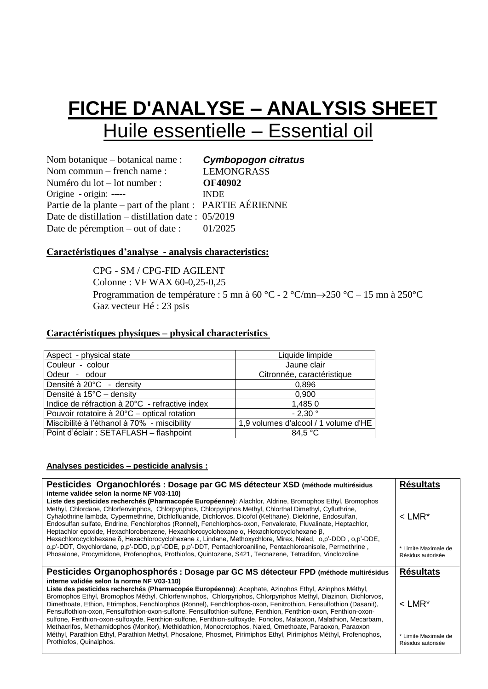## **FICHE D'ANALYSE – ANALYSIS SHEET** Huile essentielle – Essential oil

Nom botanique – botanical name : Nom commun – french name : Numéro du lot – lot number : Origine - origin: ----- *Cymbopogon citratus* LEMONGRASS **OF40902**  INDE Partie de la plante – part of the plant : PARTIE AÉRIENNE Date de distillation – distillation date : 05/2019 Date de péremption – out of date : 01/2025

#### **Caractéristiques d'analyse - analysis characteristics:**

CPG - SM / CPG-FID AGILENT Colonne : VF WAX 60-0,25-0,25 Programmation de température : 5 mn à 60 °C - 2 °C/mn $\rightarrow$ 250 °C – 15 mn à 250 °C Gaz vecteur Hé : 23 psis

#### **Caractéristiques physiques – physical characteristics**

| Aspect - physical state                        | Liquide limpide                      |
|------------------------------------------------|--------------------------------------|
| Couleur - colour                               | Jaune clair                          |
| Odeur - odour                                  | Citronnée, caractéristique           |
| Densité à 20°C - density                       | 0.896                                |
| Densité à 15°C - density                       | 0.900                                |
| Indice de réfraction à 20°C - refractive index | 1,4850                               |
| Pouvoir rotatoire à 20°C – optical rotation    | $-2.30$ °                            |
| Miscibilité à l'éthanol à 70% - miscibility    | 1,9 volumes d'alcool / 1 volume d'HE |
| Point d'éclair : SETAFLASH - flashpoint        | 84.5 $\degree$ C                     |

#### **Analyses pesticides – pesticide analysis :**

| Pesticides Organochlorés : Dosage par GC MS détecteur XSD (méthode multirésidus<br>interne validée selon la norme NF V03-110)                                                                                                                                                                                                                                                                                                                                                                                                                                                                                                                                                                                                           | <b>Résultats</b>                          |
|-----------------------------------------------------------------------------------------------------------------------------------------------------------------------------------------------------------------------------------------------------------------------------------------------------------------------------------------------------------------------------------------------------------------------------------------------------------------------------------------------------------------------------------------------------------------------------------------------------------------------------------------------------------------------------------------------------------------------------------------|-------------------------------------------|
| Liste des pesticides recherchés (Pharmacopée Européenne): Alachlor, Aldrine, Bromophos Ethyl, Bromophos<br>Methyl, Chlordane, Chlorfenvinphos, Chlorpyriphos, Chlorpyriphos Methyl, Chlorthal Dimethyl, Cyfluthrine,<br>Cyhalothrine lambda, Cypermethrine, Dichlofluanide, Dichlorvos, Dicofol (Kelthane), Dieldrine, Endosulfan,<br>Endosulfan sulfate, Endrine, Fenchlorphos (Ronnel), Fenchlorphos-oxon, Fenvalerate, Fluvalinate, Heptachlor,<br>Heptachlor epoxide, Hexachlorobenzene, Hexachlorocyclohexane α, Hexachlorocyclohexane β,<br>Hexachlorocyclohexane δ, Hexachlorocyclohexane ε, Lindane, Methoxychlore, Mirex, Naled, o,p'-DDD, o,p'-DDE,                                                                           | $<$ LMR <sup>*</sup>                      |
| o,p'-DDT, Oxychlordane, p,p'-DDD, p,p'-DDE, p,p'-DDT, Pentachloroaniline, Pentachloroanisole, Permethrine,<br>Phosalone, Procymidone, Profenophos, Prothiofos, Quintozene, S421, Tecnazene, Tetradifon, Vinclozoline                                                                                                                                                                                                                                                                                                                                                                                                                                                                                                                    | * Limite Maximale de<br>Résidus autorisée |
| Pesticides Organophosphorés : Dosage par GC MS détecteur FPD (méthode multirésidus                                                                                                                                                                                                                                                                                                                                                                                                                                                                                                                                                                                                                                                      | <b>Résultats</b>                          |
| interne validée selon la norme NF V03-110)<br>Liste des pesticides recherchés (Pharmacopée Européenne): Acephate, Azinphos Ethyl, Azinphos Méthyl,<br>Bromophos Ethyl, Bromophos Méthyl, Chlorfenvinphos, Chlorpyriphos, Chlorpyriphos Methyl, Diazinon, Dichlorvos,<br>Dimethoate, Ethion, Etrimphos, Fenchlorphos (Ronnel), Fenchlorphos-oxon, Fenitrothion, Fensulfothion (Dasanit),<br>Fensulfothion-oxon, Fensulfothion-oxon-sulfone, Fensulfothion-sulfone, Fenthion, Fenthion-oxon, Fenthion-oxon-<br>sulfone, Fenthion-oxon-sulfoxyde, Fenthion-sulfone, Fenthion-sulfoxyde, Fonofos, Malaoxon, Malathion, Mecarbam,<br>Methacrifos, Methamidophos (Monitor), Methidathion, Monocrotophos, Naled, Omethoate, Paraoxon, Paraoxon | $<$ LMR <sup>*</sup>                      |
|                                                                                                                                                                                                                                                                                                                                                                                                                                                                                                                                                                                                                                                                                                                                         |                                           |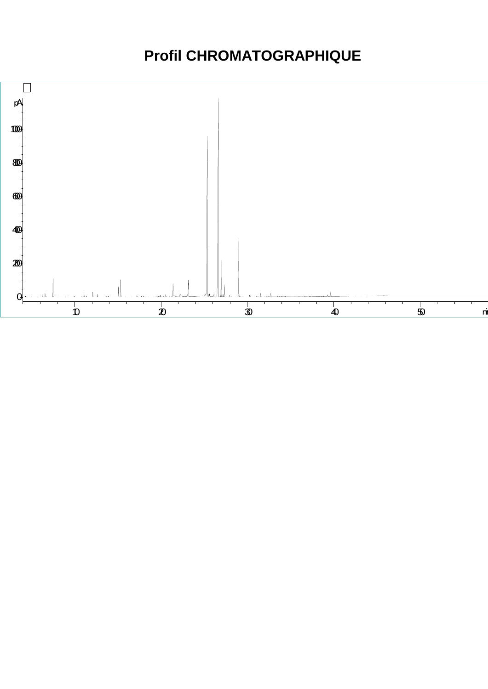### **Profil CHROMATOGRAPHIQUE**

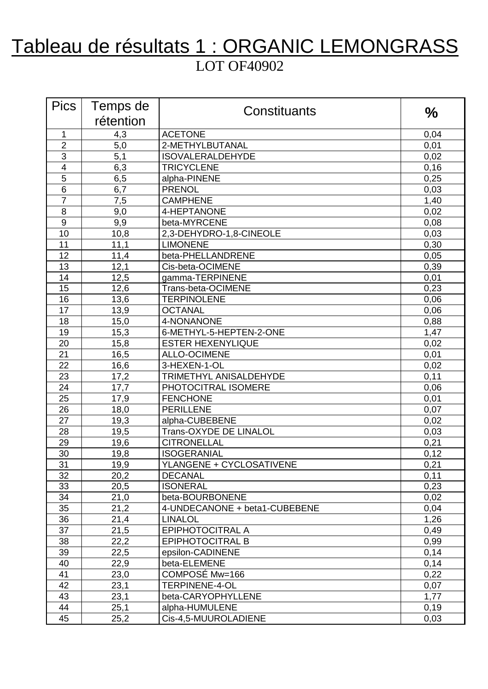### Tableau de résultats 1 : ORGANIC LEMONGRASS LOT OF40902

| <b>Pics</b>     | Temps de  | Constituants                  | $\frac{0}{0}$ |
|-----------------|-----------|-------------------------------|---------------|
|                 | rétention |                               |               |
| 1               | 4,3       | <b>ACETONE</b>                | 0,04          |
| $\overline{2}$  | 5,0       | 2-METHYLBUTANAL               | 0,01          |
| 3               | 5,1       | <b>ISOVALERALDEHYDE</b>       | 0,02          |
| $\overline{4}$  | 6,3       | <b>TRICYCLENE</b>             | 0, 16         |
| 5               | 6,5       | alpha-PINENE                  | 0,25          |
| 6               | 6,7       | <b>PRENOL</b>                 | 0,03          |
| $\overline{7}$  | 7,5       | <b>CAMPHENE</b>               | 1,40          |
| 8               | 9,0       | 4-HEPTANONE                   | 0,02          |
| 9               | 9,9       | beta-MYRCENE                  | 0,08          |
| 10              | 10,8      | 2,3-DEHYDRO-1,8-CINEOLE       | 0,03          |
| 11              | 11,1      | <b>LIMONENE</b>               | 0,30          |
| 12              | 11,4      | beta-PHELLANDRENE             | 0,05          |
| 13              | 12,1      | Cis-beta-OCIMENE              | 0,39          |
| 14              | 12,5      | gamma-TERPINENE               | 0,01          |
| 15              | 12,6      | Trans-beta-OCIMENE            | 0,23          |
| 16              | 13,6      | <b>TERPINOLENE</b>            | 0,06          |
| 17              | 13,9      | <b>OCTANAL</b>                | 0,06          |
| 18              | 15,0      | 4-NONANONE                    | 0,88          |
| 19              | 15,3      | 6-METHYL-5-HEPTEN-2-ONE       | 1,47          |
| 20              | 15,8      | <b>ESTER HEXENYLIQUE</b>      | 0,02          |
| 21              | 16,5      | <b>ALLO-OCIMENE</b>           | 0,01          |
| 22              | 16,6      | 3-HEXEN-1-OL                  | 0,02          |
| 23              | 17,2      | TRIMETHYL ANISALDEHYDE        | 0,11          |
| 24              | 17,7      | PHOTOCITRAL ISOMERE           | 0,06          |
| 25              | 17,9      | <b>FENCHONE</b>               | 0,01          |
| 26              | 18,0      | <b>PERILLENE</b>              | 0,07          |
| 27              | 19,3      | alpha-CUBEBENE                | 0,02          |
| 28              | 19,5      | Trans-OXYDE DE LINALOL        | 0,03          |
| 29              | 19,6      | <b>CITRONELLAL</b>            | 0,21          |
| 30              | 19,8      | <b>ISOGERANIAL</b>            | 0,12          |
| $\overline{31}$ | 19,9      | YLANGENE + CYCLOSATIVENE      | 0,21          |
| 32              | 20,2      | <b>DECANAL</b>                | 0,11          |
| 33              | 20,5      | <b>ISONERAL</b>               | 0,23          |
| 34              | 21,0      | beta-BOURBONENE               | 0,02          |
| 35              | 21,2      | 4-UNDECANONE + beta1-CUBEBENE | 0,04          |
| 36              | 21,4      | <b>LINALOL</b>                | 1,26          |
| 37              | 21,5      | EPIPHOTOCITRAL A              | 0,49          |
| 38              | 22,2      | EPIPHOTOCITRAL B              | 0,99          |
| 39              | 22,5      | epsilon-CADINENE              | 0,14          |
| 40              | 22,9      | beta-ELEMENE                  | 0,14          |
| 41              | 23,0      | COMPOSÉ Mw=166                | 0,22          |
| 42              | 23,1      | <b>TERPINENE-4-OL</b>         | 0,07          |
| 43              | 23,1      | beta-CARYOPHYLLENE            | 1,77          |
| 44              | 25,1      | alpha-HUMULENE                | 0,19          |
| 45              | 25,2      | Cis-4,5-MUUROLADIENE          | 0,03          |